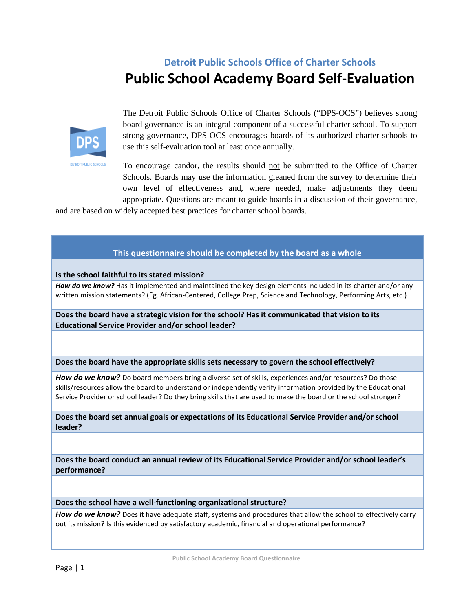## **Detroit Public Schools Office of Charter Schools Public School Academy Board Self-Evaluation**



**DETROIT PUBLIC SCHOOL** 

The Detroit Public Schools Office of Charter Schools ("DPS-OCS") believes strong board governance is an integral component of a successful charter school. To support strong governance, DPS-OCS encourages boards of its authorized charter schools to use this self-evaluation tool at least once annually.

To encourage candor, the results should not be submitted to the Office of Charter Schools. Boards may use the information gleaned from the survey to determine their own level of effectiveness and, where needed, make adjustments they deem appropriate. Questions are meant to guide boards in a discussion of their governance,

and are based on widely accepted best practices for charter school boards.

## **This questionnaire should be completed by the board as a whole**

**Is the school faithful to its stated mission?**

*How do we know?* Has it implemented and maintained the key design elements included in its charter and/or any written mission statements? (Eg. African-Centered, College Prep, Science and Technology, Performing Arts, etc.)

**Does the board have a strategic vision for the school? Has it communicated that vision to its Educational Service Provider and/or school leader?**

**Does the board have the appropriate skills sets necessary to govern the school effectively?**

How do we know? Do board members bring a diverse set of skills, experiences and/or resources? Do those skills/resources allow the board to understand or independently verify information provided by the Educational Service Provider or school leader? Do they bring skills that are used to make the board or the school stronger?

**Does the board set annual goals or expectations of its Educational Service Provider and/or school leader?**

**Does the board conduct an annual review of its Educational Service Provider and/or school leader's performance?**

**Does the school have a well-functioning organizational structure?**

*How do we know?* Does it have adequate staff, systems and procedures that allow the school to effectively carry out its mission? Is this evidenced by satisfactory academic, financial and operational performance?